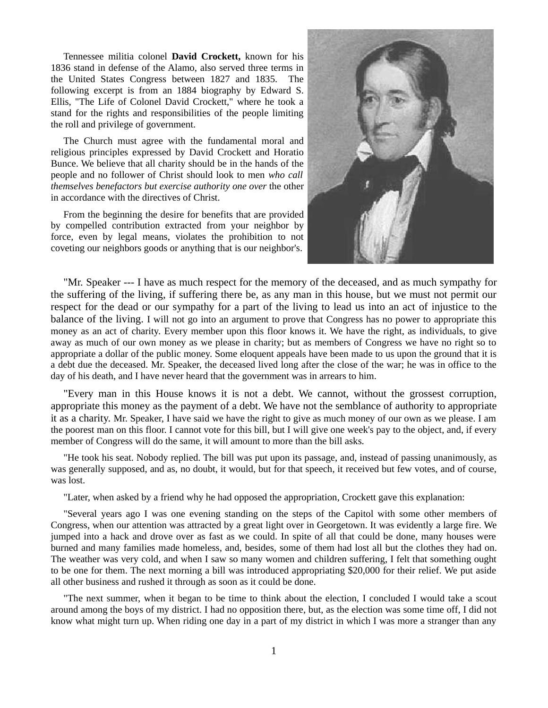Tennessee militia colonel **David Crockett,** known for his 1836 stand in defense of the Alamo, also served three terms in the United States Congress between 1827 and 1835. The following excerpt is from an 1884 biography by Edward S. Ellis, "The Life of Colonel David Crockett," where he took a stand for the rights and responsibilities of the people limiting the roll and privilege of government.

The Church must agree with the fundamental moral and religious principles expressed by David Crockett and Horatio Bunce. We believe that all charity should be in the hands of the people and no follower of Christ should look to men *who call themselves benefactors but exercise authority one over* the other in accordance with the directives of Christ.

From the beginning the desire for benefits that are provided by compelled contribution extracted from your neighbor by force, even by legal means, violates the prohibition to not coveting our neighbors goods or anything that is our neighbor's.



"Mr. Speaker --- I have as much respect for the memory of the deceased, and as much sympathy for the suffering of the living, if suffering there be, as any man in this house, but we must not permit our respect for the dead or our sympathy for a part of the living to lead us into an act of injustice to the balance of the living. I will not go into an argument to prove that Congress has no power to appropriate this money as an act of charity. Every member upon this floor knows it. We have the right, as individuals, to give away as much of our own money as we please in charity; but as members of Congress we have no right so to appropriate a dollar of the public money. Some eloquent appeals have been made to us upon the ground that it is a debt due the deceased. Mr. Speaker, the deceased lived long after the close of the war; he was in office to the day of his death, and I have never heard that the government was in arrears to him.

"Every man in this House knows it is not a debt. We cannot, without the grossest corruption, appropriate this money as the payment of a debt. We have not the semblance of authority to appropriate it as a charity. Mr. Speaker, I have said we have the right to give as much money of our own as we please. I am the poorest man on this floor. I cannot vote for this bill, but I will give one week's pay to the object, and, if every member of Congress will do the same, it will amount to more than the bill asks.

"He took his seat. Nobody replied. The bill was put upon its passage, and, instead of passing unanimously, as was generally supposed, and as, no doubt, it would, but for that speech, it received but few votes, and of course, was lost.

"Later, when asked by a friend why he had opposed the appropriation, Crockett gave this explanation:

"Several years ago I was one evening standing on the steps of the Capitol with some other members of Congress, when our attention was attracted by a great light over in Georgetown. It was evidently a large fire. We jumped into a hack and drove over as fast as we could. In spite of all that could be done, many houses were burned and many families made homeless, and, besides, some of them had lost all but the clothes they had on. The weather was very cold, and when I saw so many women and children suffering, I felt that something ought to be one for them. The next morning a bill was introduced appropriating \$20,000 for their relief. We put aside all other business and rushed it through as soon as it could be done.

"The next summer, when it began to be time to think about the election, I concluded I would take a scout around among the boys of my district. I had no opposition there, but, as the election was some time off, I did not know what might turn up. When riding one day in a part of my district in which I was more a stranger than any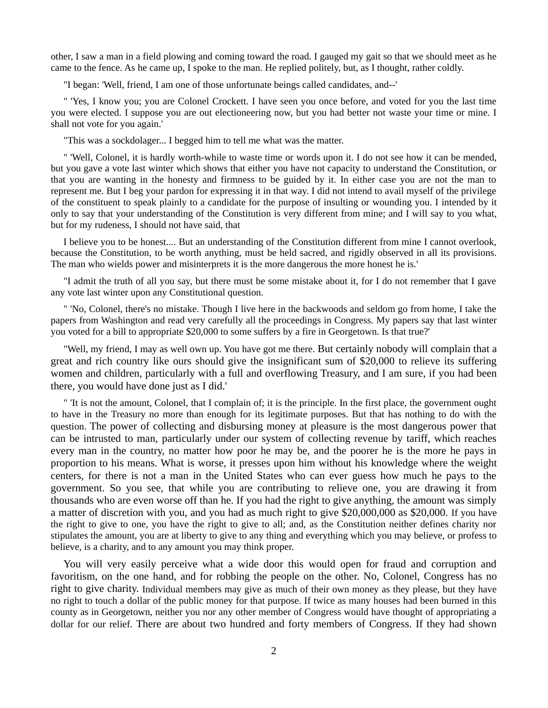other, I saw a man in a field plowing and coming toward the road. I gauged my gait so that we should meet as he came to the fence. As he came up, I spoke to the man. He replied politely, but, as I thought, rather coldly.

"I began: 'Well, friend, I am one of those unfortunate beings called candidates, and--'

" 'Yes, I know you; you are Colonel Crockett. I have seen you once before, and voted for you the last time you were elected. I suppose you are out electioneering now, but you had better not waste your time or mine. I shall not vote for you again.'

"This was a sockdolager... I begged him to tell me what was the matter.

" 'Well, Colonel, it is hardly worth-while to waste time or words upon it. I do not see how it can be mended, but you gave a vote last winter which shows that either you have not capacity to understand the Constitution, or that you are wanting in the honesty and firmness to be guided by it. In either case you are not the man to represent me. But I beg your pardon for expressing it in that way. I did not intend to avail myself of the privilege of the constituent to speak plainly to a candidate for the purpose of insulting or wounding you. I intended by it only to say that your understanding of the Constitution is very different from mine; and I will say to you what, but for my rudeness, I should not have said, that

I believe you to be honest.... But an understanding of the Constitution different from mine I cannot overlook, because the Constitution, to be worth anything, must be held sacred, and rigidly observed in all its provisions. The man who wields power and misinterprets it is the more dangerous the more honest he is.'

"I admit the truth of all you say, but there must be some mistake about it, for I do not remember that I gave any vote last winter upon any Constitutional question.

" 'No, Colonel, there's no mistake. Though I live here in the backwoods and seldom go from home, I take the papers from Washington and read very carefully all the proceedings in Congress. My papers say that last winter you voted for a bill to appropriate \$20,000 to some suffers by a fire in Georgetown. Is that true?'

"Well, my friend, I may as well own up. You have got me there. But certainly nobody will complain that a great and rich country like ours should give the insignificant sum of \$20,000 to relieve its suffering women and children, particularly with a full and overflowing Treasury, and I am sure, if you had been there, you would have done just as I did.'

" 'It is not the amount, Colonel, that I complain of; it is the principle. In the first place, the government ought to have in the Treasury no more than enough for its legitimate purposes. But that has nothing to do with the question. The power of collecting and disbursing money at pleasure is the most dangerous power that can be intrusted to man, particularly under our system of collecting revenue by tariff, which reaches every man in the country, no matter how poor he may be, and the poorer he is the more he pays in proportion to his means. What is worse, it presses upon him without his knowledge where the weight centers, for there is not a man in the United States who can ever guess how much he pays to the government. So you see, that while you are contributing to relieve one, you are drawing it from thousands who are even worse off than he. If you had the right to give anything, the amount was simply a matter of discretion with you, and you had as much right to give \$20,000,000 as \$20,000. If you have the right to give to one, you have the right to give to all; and, as the Constitution neither defines charity nor stipulates the amount, you are at liberty to give to any thing and everything which you may believe, or profess to believe, is a charity, and to any amount you may think proper.

You will very easily perceive what a wide door this would open for fraud and corruption and favoritism, on the one hand, and for robbing the people on the other. No, Colonel, Congress has no right to give charity. Individual members may give as much of their own money as they please, but they have no right to touch a dollar of the public money for that purpose. If twice as many houses had been burned in this county as in Georgetown, neither you nor any other member of Congress would have thought of appropriating a dollar for our relief. There are about two hundred and forty members of Congress. If they had shown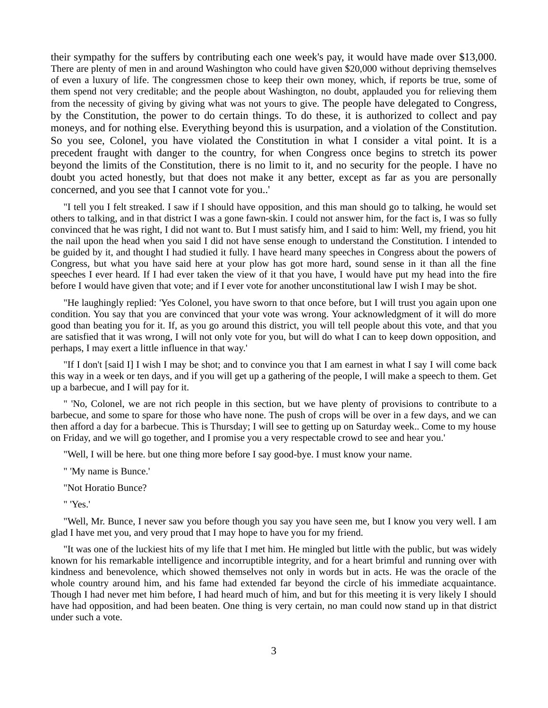their sympathy for the suffers by contributing each one week's pay, it would have made over \$13,000. There are plenty of men in and around Washington who could have given \$20,000 without depriving themselves of even a luxury of life. The congressmen chose to keep their own money, which, if reports be true, some of them spend not very creditable; and the people about Washington, no doubt, applauded you for relieving them from the necessity of giving by giving what was not yours to give. The people have delegated to Congress, by the Constitution, the power to do certain things. To do these, it is authorized to collect and pay moneys, and for nothing else. Everything beyond this is usurpation, and a violation of the Constitution. So you see, Colonel, you have violated the Constitution in what I consider a vital point. It is a precedent fraught with danger to the country, for when Congress once begins to stretch its power beyond the limits of the Constitution, there is no limit to it, and no security for the people. I have no doubt you acted honestly, but that does not make it any better, except as far as you are personally concerned, and you see that I cannot vote for you..'

"I tell you I felt streaked. I saw if I should have opposition, and this man should go to talking, he would set others to talking, and in that district I was a gone fawn-skin. I could not answer him, for the fact is, I was so fully convinced that he was right, I did not want to. But I must satisfy him, and I said to him: Well, my friend, you hit the nail upon the head when you said I did not have sense enough to understand the Constitution. I intended to be guided by it, and thought I had studied it fully. I have heard many speeches in Congress about the powers of Congress, but what you have said here at your plow has got more hard, sound sense in it than all the fine speeches I ever heard. If I had ever taken the view of it that you have, I would have put my head into the fire before I would have given that vote; and if I ever vote for another unconstitutional law I wish I may be shot.

"He laughingly replied: 'Yes Colonel, you have sworn to that once before, but I will trust you again upon one condition. You say that you are convinced that your vote was wrong. Your acknowledgment of it will do more good than beating you for it. If, as you go around this district, you will tell people about this vote, and that you are satisfied that it was wrong, I will not only vote for you, but will do what I can to keep down opposition, and perhaps, I may exert a little influence in that way.'

"If I don't [said I] I wish I may be shot; and to convince you that I am earnest in what I say I will come back this way in a week or ten days, and if you will get up a gathering of the people, I will make a speech to them. Get up a barbecue, and I will pay for it.

" 'No, Colonel, we are not rich people in this section, but we have plenty of provisions to contribute to a barbecue, and some to spare for those who have none. The push of crops will be over in a few days, and we can then afford a day for a barbecue. This is Thursday; I will see to getting up on Saturday week.. Come to my house on Friday, and we will go together, and I promise you a very respectable crowd to see and hear you.'

"Well, I will be here. but one thing more before I say good-bye. I must know your name.

" 'My name is Bunce.'

"Not Horatio Bunce?

" 'Yes.'

"Well, Mr. Bunce, I never saw you before though you say you have seen me, but I know you very well. I am glad I have met you, and very proud that I may hope to have you for my friend.

"It was one of the luckiest hits of my life that I met him. He mingled but little with the public, but was widely known for his remarkable intelligence and incorruptible integrity, and for a heart brimful and running over with kindness and benevolence, which showed themselves not only in words but in acts. He was the oracle of the whole country around him, and his fame had extended far beyond the circle of his immediate acquaintance. Though I had never met him before, I had heard much of him, and but for this meeting it is very likely I should have had opposition, and had been beaten. One thing is very certain, no man could now stand up in that district under such a vote.